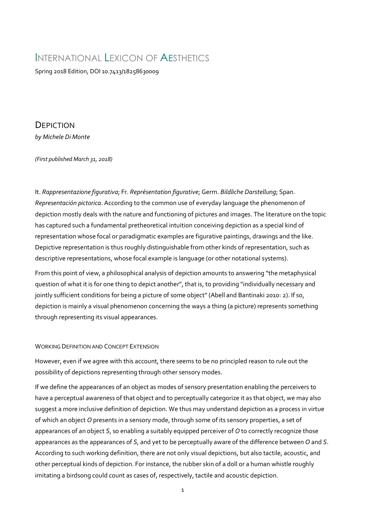# INTERNATIONAL LEXICON OF AESTHETICS

Spring 2018 Edition, DOI 10.7413/18258630009

DEPICTION *by Michele Di Monte*

*(First published March 31, 2018)*

It. *Rappresentazione figurativa*; Fr. *Représentation figurative*; Germ. *Bildliche Darstellung*; Span. *Representación pictorica*. According to the common use of everyday language the phenomenon of depiction mostly deals with the nature and functioning of pictures and images. The literature on the topic has captured such a fundamental pretheoretical intuition conceiving depiction as a special kind of representation whose focal or paradigmatic examples are figurative paintings, drawings and the like. Depictive representation is thus roughly distinguishable from other kinds of representation, such as descriptive representations, whose focal example is language (or other notational systems).

From this point of view, a philosophical analysis of depiction amounts to answering "the metaphysical question of what it is for one thing to depict another", that is, to providing "individually necessary and jointly sufficient conditions for being a picture of some object" (Abell and Bantinaki 2010: 2). If so, depiction is mainly a visual phenomenon concerning the ways a thing (a picture) represents something through representing its visual appearances.

# WORKING DEFINITION AND CONCEPT EXTENSION

However, even if we agree with this account, there seems to be no principled reason to rule out the possibility of depictions representing through other sensory modes.

If we define the appearances of an object as modes of sensory presentation enabling the perceivers to have a perceptual awareness of that object and to perceptually categorize it as that object, we may also suggest a more inclusive definition of depiction. We thus may understand depiction as a process in virtue of which an object *O* presents in a sensory mode, through some of its sensory properties, a set of appearances of an object *S*, so enabling a suitably equipped perceiver of *O* to correctly recognize those appearances as the appearances of *S*, and yet to be perceptually aware of the difference between *O* and *S*. According to such working definition, there are not only visual depictions, but also tactile, acoustic, and other perceptual kinds of depiction. For instance, the rubber skin of a doll or a human whistle roughly imitating a birdsong could count as cases of, respectively, tactile and acoustic depiction.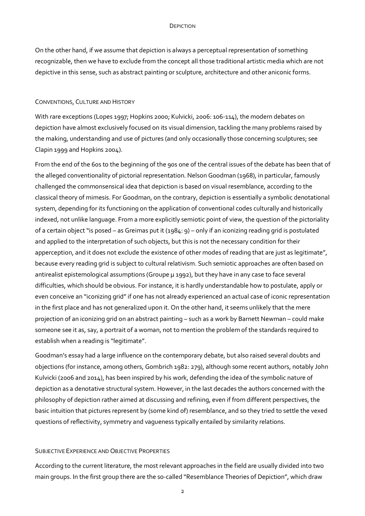#### DEPICTION

On the other hand, if we assume that depiction is always a perceptual representation of something recognizable, then we have to exclude from the concept all those traditional artistic media which are not depictive in this sense, such as abstract painting or sculpture, architecture and other aniconic forms.

### CONVENTIONS, CULTURE AND HISTORY

With rare exceptions (Lopes 1997; Hopkins 2000; Kulvicki, 2006: 106-114), the modern debates on depiction have almost exclusively focused on its visual dimension, tackling the many problems raised by the making, understanding and use of pictures (and only occasionally those concerning sculptures; see Clapin 1999 and Hopkins 2004).

From the end of the 60s to the beginning of the 90s one of the central issues of the debate has been that of the alleged conventionality of pictorial representation. Nelson Goodman (1968), in particular, famously challenged the commonsensical idea that depiction is based on visual resemblance, according to the classical theory of mimesis. For Goodman, on the contrary, depiction is essentially a symbolic denotational system, depending for its functioning on the application of conventional codes culturally and historically indexed, not unlike language. From a more explicitly semiotic point of view, the question of the pictoriality of a certain object "is posed – as Greimas put it (1984: 9) – only if an iconizing reading grid is postulated and applied to the interpretation of such objects, but this is not the necessary condition for their apperception, and it does not exclude the existence of other modes of reading that are just as legitimate", because every reading grid is subject to cultural relativism. Such semiotic approaches are often based on antirealist epistemological assumptions (Groupe  $\mu$  1992), but they have in any case to face several difficulties, which should be obvious. For instance, it is hardly understandable how to postulate, apply or even conceive an "iconizing grid" if one has not already experienced an actual case of iconic representation in the first place and has not generalized upon it. On the other hand, it seems unlikely that the mere projection of an iconizing grid on an abstract painting – such as a work by Barnett Newman – could make someone see it as, say, a portrait of a woman, not to mention the problem of the standards required to establish when a reading is "legitimate".

Goodman's essay had a large influence on the contemporary debate, but also raised several doubts and objections (for instance, among others, Gombrich 1982: 279), although some recent authors, notably John Kulvicki (2006 and 2014), has been inspired by his work, defending the idea of the symbolic nature of depiction as a denotative structural system. However, in the last decades the authors concerned with the philosophy of depiction rather aimed at discussing and refining, even if from different perspectives, the basic intuition that pictures represent by (some kind of) resemblance, and so they tried to settle the vexed questions of reflectivity, symmetry and vagueness typically entailed by similarity relations.

## SUBJECTIVE EXPERIENCE AND OBJECTIVE PROPERTIES

According to the current literature, the most relevant approaches in the field are usually divided into two main groups. In the first group there are the so-called "Resemblance Theories of Depiction", which draw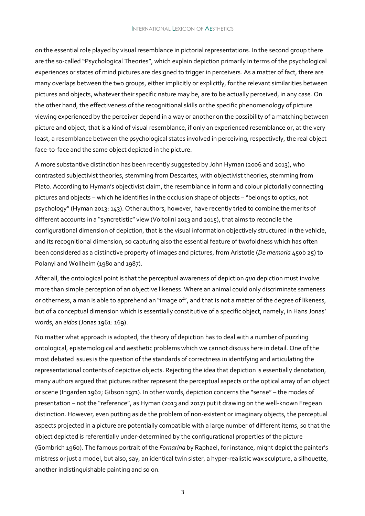on the essential role played by visual resemblance in pictorial representations. In the second group there are the so-called "Psychological Theories", which explain depiction primarily in terms of the psychological experiences or states of mind pictures are designed to trigger in perceivers. As a matter of fact, there are many overlaps between the two groups, either implicitly or explicitly, for the relevant similarities between pictures and objects, whatever their specific nature may be, are to be actually perceived, in any case. On the other hand, the effectiveness of the recognitional skills or the specific phenomenology of picture viewing experienced by the perceiver depend in a way or another on the possibility of a matching between picture and object, that is a kind of visual resemblance, if only an experienced resemblance or, at the very least, a resemblance between the psychological states involved in perceiving, respectively, the real object face-to-face and the same object depicted in the picture.

A more substantive distinction has been recently suggested by John Hyman (2006 and 2013), who contrasted subjectivist theories, stemming from Descartes, with objectivist theories, stemming from Plato. According to Hyman's objectivist claim, the resemblance in form and colour pictorially connecting pictures and objects – which he identifies in the occlusion shape of objects – "belongs to optics, not psychology" (Hyman 2013: 143). Other authors, however, have recently tried to combine the merits of different accounts in a "syncretistic" view (Voltolini 2013 and 2015), that aims to reconcile the configurational dimension of depiction, that is the visual information objectively structured in the vehicle, and its recognitional dimension, so capturing also the essential feature of twofoldness which has often been considered as a distinctive property of images and pictures, from Aristotle (*De memoria* 450b 25) to Polanyi and Wollheim (1980 and 1987).

After all, the ontological point is that the perceptual awareness of depiction *qua* depiction must involve more than simple perception of an objective likeness. Where an animal could only discriminate sameness or otherness, a man is able to apprehend an "image of", and that is not a matter of the degree of likeness, but of a conceptual dimension which is essentially constitutive of a specific object, namely, in Hans Jonas' words, an *eidos* (Jonas 1961: 169).

No matter what approach is adopted, the theory of depiction has to deal with a number of puzzling ontological, epistemological and aesthetic problems which we cannot discuss here in detail. One of the most debated issues is the question of the standards of correctness in identifying and articulating the representational contents of depictive objects. Rejecting the idea that depiction is essentially denotation, many authors argued that pictures rather represent the perceptual aspects or the optical array of an object or scene (Ingarden 1962; Gibson 1971). In other words, depiction concerns the "sense" – the modes of presentation – not the "reference", as Hyman (2013 and 2017) put it drawing on the well-known Fregean distinction. However, even putting aside the problem of non-existent or imaginary objects, the perceptual aspects projected in a picture are potentially compatible with a large number of different items, so that the object depicted is referentially under-determined by the configurational properties of the picture (Gombrich 1960). The famous portrait of the *Fornarina* by Raphael, for instance, might depict the painter's mistress or just a model, but also, say, an identical twin sister, a hyper-realistic wax sculpture, a silhouette, another indistinguishable painting and so on.

3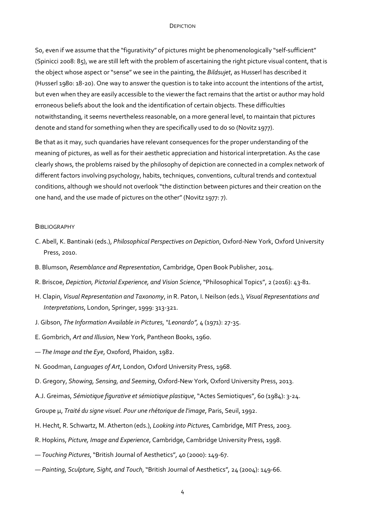#### DEPICTION

So, even if we assume that the "figurativity" of pictures might be phenomenologically "self-sufficient" (Spinicci 2008: 85), we are still left with the problem of ascertaining the right picture visual content, that is the object whose aspect or "sense" we see in the painting, the *Bildsujet*, as Husserl has described it (Husserl 1980: 18-20). One way to answer the question is to take into account the intentions of the artist, but even when they are easily accessible to the viewer the fact remains that the artist or author may hold erroneous beliefs about the look and the identification of certain objects. These difficulties notwithstanding, it seems nevertheless reasonable, on a more general level, to maintain that pictures denote and stand for something when they are specifically used to do so (Novitz 1977).

Be that as it may, such quandaries have relevant consequences for the proper understanding of the meaning of pictures, as well as for their aesthetic appreciation and historical interpretation. As the case clearly shows, the problems raised by the philosophy of depiction are connected in a complex network of different factors involving psychology, habits, techniques, conventions, cultural trends and contextual conditions, although we should not overlook "the distinction between pictures and their creation on the one hand, and the use made of pictures on the other" (Novitz 1977: 7).

#### **BIBLIOGRAPHY**

- C. Abell, K. Bantinaki (eds.), *Philosophical Perspectives on Depiction*, Oxford-New York, Oxford University Press, 2010.
- B. Blumson, *Resemblance and Representation*, Cambridge, Open Book Publisher, 2014.
- R. Briscoe, *Depiction, Pictorial Experience, and Vision Science*, "Philosophical Topics", 2 (2016): 43-81.
- H. Clapin, *Visual Representation and Taxonomy*, in R. Paton, I. Neilson (eds.), *Visual Representations and Interpretations*, London, Springer, 1999: 313-321.
- J. Gibson, *The Information Available in Pictures*, *"Leonardo",* 4 (1971): 27-35.
- E. Gombrich, *Art and Illusion*, New York, Pantheon Books, 1960.
- *The Image and the Eye*, Oxoford, Phaidon, 1982.
- N. Goodman, *Languages of Art*, London, Oxford University Press, 1968.
- D. Gregory, *Showing, Sensing, and Seeming*, Oxford-New York, Oxford University Press, 2013.
- A.J. Greimas, *Sémiotique figurative et sémiotique plastique*, "Actes Semiotiques", 60 (1984): 3-24.
- Groupe µ, *Traité du signe visuel. Pour une rhétorique de l'image*, Paris, Seuil, 1992.
- H. Hecht, R. Schwartz, M. Atherton (eds.), *Looking into Pictures*, Cambridge, MIT Press, 2003.
- R. Hopkins, *Picture, Image and Experience*, Cambridge, Cambridge University Press, 1998.
- *— Touching Pictures*, "British Journal of Aesthetics"*,* 40 (2000): 149-67.
- *Painting, Sculpture, Sight, and Touch*, "British Journal of Aesthetics"*,* 24 (2004): 149-66.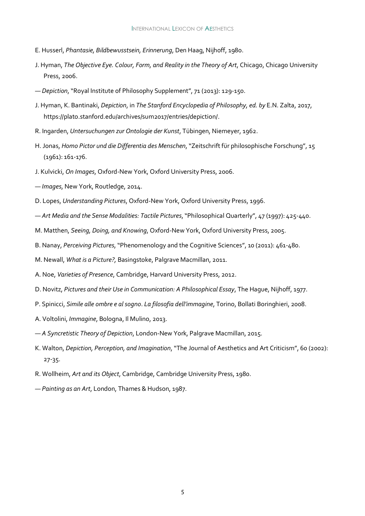- E. Husserl, *Phantasie, Bildbewusstsein, Erinnerung*, Den Haag, Nijhoff, 1980.
- J. Hyman, *The Objective Eye. Colour, Form, and Reality in the Theory of Art*, Chicago, Chicago University Press, 2006.
- *Depiction*, "Royal Institute of Philosophy Supplement", 71 (2013): 129-150.
- J. Hyman, K. Bantinaki, *Depiction*, in *The Stanford Encyclopedia of Philosophy, ed. by* E.N. Zalta, 2017, https://plato.stanford.edu/archives/sum2017/entries/depiction/.
- R. Ingarden, *Untersuchungen zur Ontologie der Kunst*, Tübingen, Niemeyer, 1962.
- H. Jonas, *Homo Pictor und die Differentia des Menschen*, "Zeitschrift für philosophische Forschung", 15 (1961): 161-176.
- J. Kulvicki, *On Images*, Oxford-New York, Oxford University Press, 2006.
- *Images*, New York, Routledge, 2014.
- D. Lopes, *Understanding Pictures*, Oxford-New York, Oxford University Press, 1996.
- *Art Media and the Sense Modalities: Tactile Pictures*, "Philosophical Quarterly", 47 (1997): 425-440.
- M. Matthen, *Seeing, Doing, and Knowing*, Oxford-New York, Oxford University Press, 2005.
- B. Nanay, *Perceiving Pictures*, "Phenomenology and the Cognitive Sciences", 10 (2011): 461-480.
- M. Newall, *What is a Picture?,* Basingstoke, Palgrave Macmillan, 2011.
- A. Noe, *Varieties of Presence*, Cambridge, Harvard University Press, 2012.
- D. Novitz, *Pictures and their Use in Communication: A Philosophical Essay*, The Hague, Nijhoff, 1977.
- P. Spinicci, *Simile alle ombre e al sogno*. *La filosofia dell'immagine*, Torino, Bollati Boringhieri, 2008.
- A. Voltolini, *Immagine*, Bologna, Il Mulino, 2013.
- *A Syncretistic Theory of Depiction*, London-New York, Palgrave Macmillan, 2015.
- K. Walton, *Depiction, Perception, and Imagination*, "The Journal of Aesthetics and Art Criticism", 60 (2002): 27-35.
- R. Wollheim, *Art and its Object*, Cambridge, Cambridge University Press, 1980.
- *Painting as an Art*, London, Thames & Hudson, 1987.